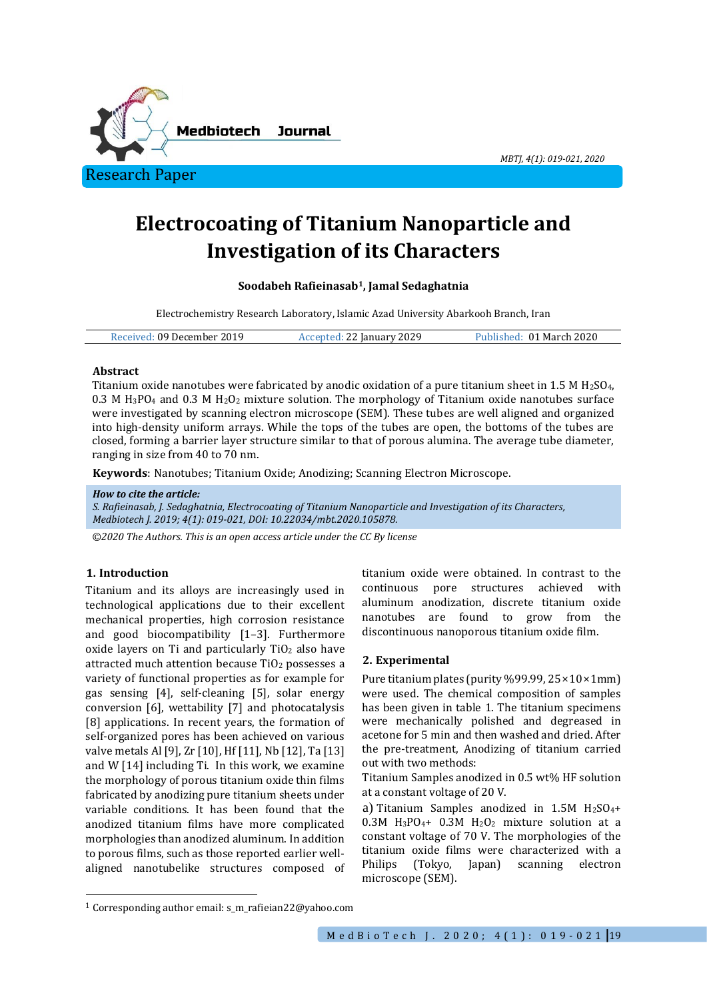

*MBTJ, 4(1): 019-021, 2020*

# **Electrocoating of Titanium Nanoparticle and Investigation of its Characters**

**Soodabeh Rafieinasab1, Jamal Sedaghatnia**

Electrochemistry Research Laboratory, Islamic Azad University Abarkooh Branch, Iran

| Received: 09 December 2019 | Accepted: 22 January 2029 | Published: 01 March 2020 |
|----------------------------|---------------------------|--------------------------|
|----------------------------|---------------------------|--------------------------|

## **Abstract**

Titanium oxide nanotubes were fabricated by anodic oxidation of a pure titanium sheet in 1.5 M H2SO4, 0.3 M H<sub>3</sub>PO<sub>4</sub> and 0.3 M H<sub>2</sub>O<sub>2</sub> mixture solution. The morphology of Titanium oxide nanotubes surface were investigated by scanning electron microscope (SEM). These tubes are well aligned and organized into high-density uniform arrays. While the tops of the tubes are open, the bottoms of the tubes are closed, forming a barrier layer structure similar to that of porous alumina. The average tube diameter, ranging in size from 40 to 70 nm.

**Keywords**: Nanotubes; Titanium Oxide; Anodizing; Scanning Electron Microscope.

### *How to cite the article:*

*S. Rafieinasab, J. Sedaghatnia, Electrocoating of Titanium Nanoparticle and Investigation of its Characters, Medbiotech J. 2019; 4(1): 019-021, DOI: 10.22034/mbt.2020.105878.*

*©2020 The Authors. This is an open access article under the CC By license*

# **1. Introduction**

1

Titanium and its alloys are increasingly used in technological applications due to their excellent mechanical properties, high corrosion resistance and good biocompatibility [1–3]. Furthermore oxide layers on Ti and particularly  $TiO<sub>2</sub>$  also have attracted much attention because TiO<sup>2</sup> possesses a variety of functional properties as for example for gas sensing [4], self-cleaning [5], solar energy conversion [6], wettability [7] and photocatalysis [8] applications. In recent years, the formation of self-organized pores has been achieved on various valve metals Al [9], Zr [10], Hf [11], Nb [12], Ta [13] and W [14] including Ti. In this work, we examine the morphology of porous titanium oxide thin films fabricated by anodizing pure titanium sheets under variable conditions. It has been found that the anodized titanium films have more complicated morphologies than anodized aluminum. In addition to porous films, such as those reported earlier wellaligned nanotubelike structures composed of

titanium oxide were obtained. In contrast to the continuous pore structures achieved with aluminum anodization, discrete titanium oxide nanotubes are found to grow from the discontinuous nanoporous titanium oxide film.

# **2. Experimental**

Pure titanium plates (purity %99.99, 25×10×1mm) were used. The chemical composition of samples has been given in table 1. The titanium specimens were mechanically polished and degreased in acetone for 5 min and then washed and dried. After the pre-treatment, Anodizing of titanium carried out with two methods:

Titanium Samples anodized in 0.5 wt% HF solution at a constant voltage of 20 V.

a) Titanium Samples anodized in  $1.5M$  H<sub>2</sub>SO<sub>4</sub>+  $0.3M$  H<sub>3</sub>PO<sub>4</sub>+  $0.3M$  H<sub>2</sub>O<sub>2</sub> mixture solution at a constant voltage of 70 V. The morphologies of the titanium oxide films were characterized with a Philips (Tokyo, Japan) scanning electron microscope (SEM).

<sup>1</sup> Corresponding author email: s\_m\_rafieian22@yahoo.com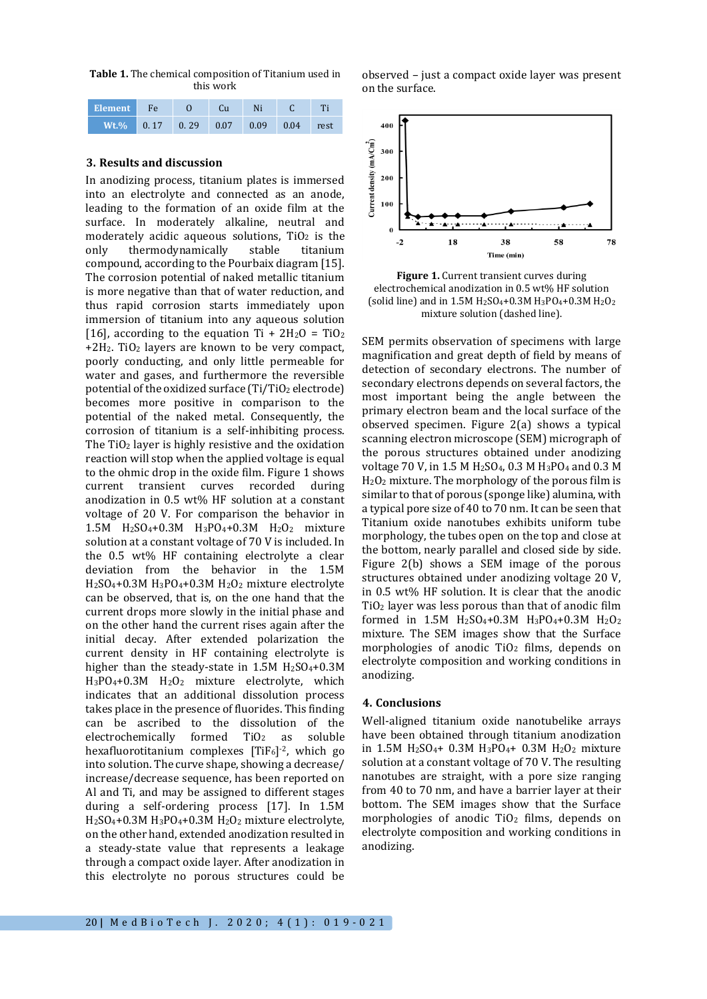**Table 1.** The chemical composition of Titanium used in this work

| Element Fe                         |  | Cu | Ni. |  |
|------------------------------------|--|----|-----|--|
| Wt.% 0.17 0.29 0.07 0.09 0.04 rest |  |    |     |  |

#### **3. Results and discussion**

In anodizing process, titanium plates is immersed into an electrolyte and connected as an anode, leading to the formation of an oxide film at the surface. In moderately alkaline, neutral and moderately acidic aqueous solutions,  $TiO<sub>2</sub>$  is the only thermodynamically stable titanium compound, according to the Pourbaix diagram [15]. The corrosion potential of naked metallic titanium is more negative than that of water reduction, and thus rapid corrosion starts immediately upon immersion of titanium into any aqueous solution [16], according to the equation Ti +  $2H_2O = TiO_2$  $+2H<sub>2</sub>$ . TiO<sub>2</sub> layers are known to be very compact, poorly conducting, and only little permeable for water and gases, and furthermore the reversible potential of the oxidized surface  $(Ti/TiO<sub>2</sub>$  electrode) becomes more positive in comparison to the potential of the naked metal. Consequently, the corrosion of titanium is a self-inhibiting process. The  $TiO<sub>2</sub>$  layer is highly resistive and the oxidation reaction will stop when the applied voltage is equal to the ohmic drop in the oxide film. Figure 1 shows current transient curves recorded during anodization in 0.5 wt% HF solution at a constant voltage of 20 V. For comparison the behavior in 1.5M H2SO4+0.3M H3PO4+0.3M H2O<sup>2</sup> mixture solution at a constant voltage of 70 V is included. In the 0.5 wt% HF containing electrolyte a clear deviation from the behavior in the 1.5M H2SO4+0.3M H3PO4+0.3M H2O<sup>2</sup> mixture electrolyte can be observed, that is, on the one hand that the current drops more slowly in the initial phase and on the other hand the current rises again after the initial decay. After extended polarization the current density in HF containing electrolyte is higher than the steady-state in  $1.5M$  H<sub>2</sub>SO<sub>4</sub>+0.3M H3PO4+0.3M H2O<sup>2</sup> mixture electrolyte, which indicates that an additional dissolution process takes place in the presence of fluorides. This finding can be ascribed to the dissolution of the  $electrochemically$  formed TiO<sub>2</sub> as soluble hexafluorotitanium complexes [TiF6] -2, which go into solution. The curve shape, showing a decrease/ increase/decrease sequence, has been reported on Al and Ti, and may be assigned to different stages during a self-ordering process [17]. In 1.5M H2SO4+0.3M H3PO4+0.3M H2O<sup>2</sup> mixture electrolyte, on the other hand, extended anodization resulted in a steady-state value that represents a leakage through a compact oxide layer. After anodization in this electrolyte no porous structures could be

observed – just a compact oxide layer was present on the surface.



**Figure 1.** Current transient curves during electrochemical anodization in 0.5 wt% HF solution (solid line) and in 1.5M  $H_2SO_4+0.3M H_3PO_4+0.3M H_2O_2$ mixture solution (dashed line).

SEM permits observation of specimens with large magnification and great depth of field by means of detection of secondary electrons. The number of secondary electrons depends on several factors, the most important being the angle between the primary electron beam and the local surface of the observed specimen. Figure 2(a) shows a typical scanning electron microscope (SEM) micrograph of the porous structures obtained under anodizing voltage 70 V, in 1.5 M H2SO4, 0.3 M H3PO<sup>4</sup> and 0.3 M H2O<sup>2</sup> mixture. The morphology of the porous film is similar to that of porous (sponge like) alumina, with a typical pore size of 40 to 70 nm. It can be seen that Titanium oxide nanotubes exhibits uniform tube morphology, the tubes open on the top and close at the bottom, nearly parallel and closed side by side. Figure 2(b) shows a SEM image of the porous structures obtained under anodizing voltage 20 V, in 0.5 wt% HF solution. It is clear that the anodic TiO<sup>2</sup> layer was less porous than that of anodic film formed in 1.5M  $H_2SO_4+0.3M$   $H_3PO_4+0.3M$   $H_2O_2$ mixture. The SEM images show that the Surface morphologies of anodic  $TiO<sub>2</sub>$  films, depends on electrolyte composition and working conditions in anodizing.

#### **4. Conclusions**

Well-aligned titanium oxide nanotubelike arrays have been obtained through titanium anodization in 1.5M H2SO4+ 0.3M H3PO4+ 0.3M H2O<sup>2</sup> mixture solution at a constant voltage of 70 V. The resulting nanotubes are straight, with a pore size ranging from 40 to 70 nm, and have a barrier layer at their bottom. The SEM images show that the Surface morphologies of anodic  $TiO<sub>2</sub>$  films, depends on electrolyte composition and working conditions in anodizing.